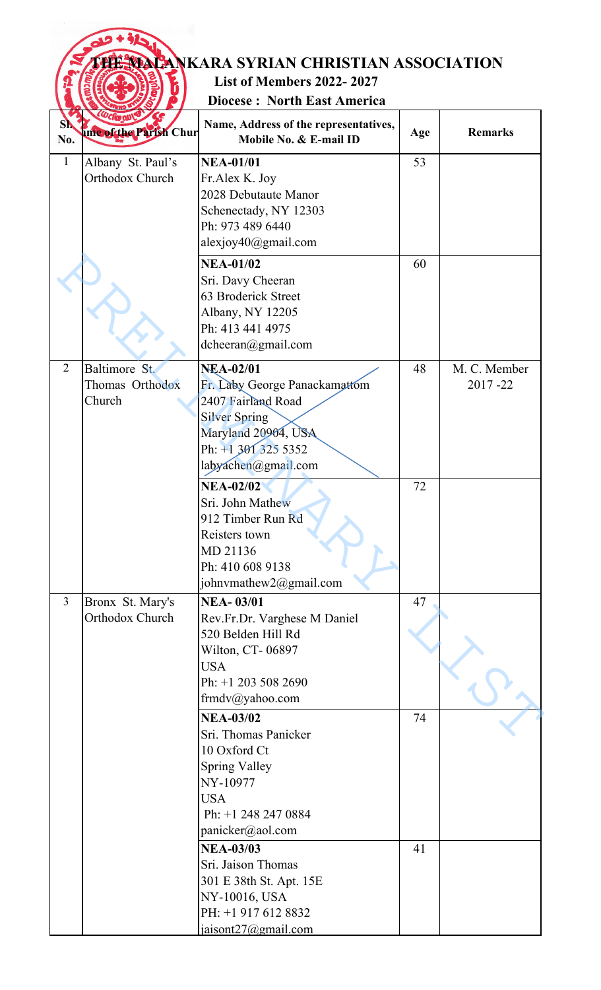|                |                                               | <b>THE MACANKARA SYRIAN CHRISTIAN ASSOCIATION</b>                                                                                                                    |     |                         |
|----------------|-----------------------------------------------|----------------------------------------------------------------------------------------------------------------------------------------------------------------------|-----|-------------------------|
|                |                                               | <b>List of Members 2022-2027</b><br><b>Diocese: North East America</b>                                                                                               |     |                         |
| No.            | <b><i>Ucfan</i></b><br>ame of the Parish Chur | Name, Address of the representatives,<br>Mobile No. & E-mail ID                                                                                                      | Age | <b>Remarks</b>          |
| $\mathbf{1}$   | Albany St. Paul's<br>Orthodox Church          | <b>NEA-01/01</b><br>Fr.Alex K. Joy<br>2028 Debutaute Manor<br>Schenectady, NY 12303<br>Ph: 973 489 6440<br>alexjoy40@gmail.com                                       | 53  |                         |
|                |                                               | <b>NEA-01/02</b><br>Sri. Davy Cheeran<br>63 Broderick Street<br>Albany, NY 12205<br>Ph: 413 441 4975<br>$d$ cheeran $@g$ mail.com                                    | 60  |                         |
| $\overline{2}$ | Baltimore St.<br>Thomas Orthodox<br>Church    | <b>NEA-02/01</b><br>Fr. Laby George Panackamattom<br>2407 Fairland Road<br><b>Silver Spring</b><br>Maryland 20904, USA<br>Ph: +1 301 325 5352<br>labyachen@gmail.com | 48  | M. C. Member<br>2017-22 |
|                |                                               | <b>NEA-02/02</b><br>Sri. John Mathew<br>912 Timber Run Rd<br>Reisters town<br>MD 21136<br>Ph: 410 608 9138<br>johnvmathew2@gmail.com                                 | 72  |                         |
| $\overline{3}$ | Bronx St. Mary's<br>Orthodox Church           | <b>NEA-03/01</b><br>Rev.Fr.Dr. Varghese M Daniel<br>520 Belden Hill Rd<br>Wilton, CT-06897<br><b>USA</b><br>Ph: +1 203 508 2690<br>frmdv@yahoo.com                   | 47  |                         |
|                |                                               | <b>NEA-03/02</b><br>Sri. Thomas Panicker<br>10 Oxford Ct<br><b>Spring Valley</b><br>NY-10977<br><b>USA</b><br>Ph: +1 248 247 0884<br>panicker@aol.com                | 74  |                         |
|                |                                               | <b>NEA-03/03</b><br>Sri. Jaison Thomas<br>301 E 38th St. Apt. 15E<br>NY-10016, USA<br>PH: +1 917 612 8832<br>jaisont $27$ @gmail.com                                 | 41  |                         |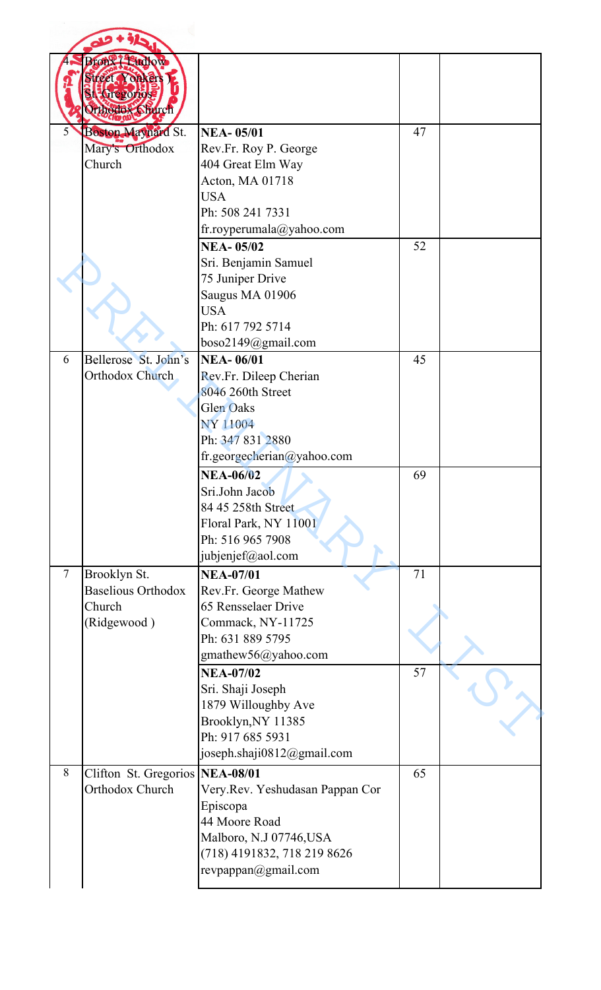|                | Bronx Eudlow<br>Street Yonkers<br><b>Recreative</b><br>Orthodox Shurch |                                       |    |  |
|----------------|------------------------------------------------------------------------|---------------------------------------|----|--|
| 5              | Boston Maynard St.                                                     | <b>NEA-05/01</b>                      | 47 |  |
|                | Mary's Orthodox                                                        | Rev.Fr. Roy P. George                 |    |  |
|                | Church                                                                 | 404 Great Elm Way<br>Acton, MA 01718  |    |  |
|                |                                                                        | <b>USA</b>                            |    |  |
|                |                                                                        | Ph: 508 241 7331                      |    |  |
|                |                                                                        | fr.royperumala@yahoo.com              |    |  |
|                |                                                                        | <b>NEA-05/02</b>                      | 52 |  |
|                |                                                                        | Sri. Benjamin Samuel                  |    |  |
|                |                                                                        | 75 Juniper Drive                      |    |  |
|                |                                                                        | Saugus MA 01906                       |    |  |
|                |                                                                        | <b>USA</b><br>Ph: 617 792 5714        |    |  |
|                |                                                                        | boso2149@gmail.com                    |    |  |
| 6              | Bellerose St. John's                                                   | <b>NEA-06/01</b>                      | 45 |  |
|                | Orthodox Church                                                        | Rev.Fr. Dileep Cherian                |    |  |
|                |                                                                        | 8046 260th Street                     |    |  |
|                |                                                                        | <b>Glen Oaks</b>                      |    |  |
|                |                                                                        | NY 11004                              |    |  |
|                |                                                                        | Ph: 347 831 2880                      |    |  |
|                |                                                                        | fr.georgecherian@yahoo.com            |    |  |
|                |                                                                        | <b>NEA-06/02</b>                      | 69 |  |
|                |                                                                        | Sri.John Jacob<br>84 45 258th Street  |    |  |
|                |                                                                        | Floral Park, NY 11001                 |    |  |
|                |                                                                        | Ph: 516 965 7908                      |    |  |
|                |                                                                        | jubjenjef@aol.com                     |    |  |
| $\overline{7}$ | Brooklyn St.                                                           | <b>NEA-07/01</b>                      | 71 |  |
|                | <b>Baselious Orthodox</b>                                              | Rev.Fr. George Mathew                 |    |  |
|                | Church                                                                 | 65 Rensselaer Drive                   |    |  |
|                | (Ridgewood)                                                            | Commack, NY-11725<br>Ph: 631 889 5795 |    |  |
|                |                                                                        | gmathew56@yahoo.com                   |    |  |
|                |                                                                        | <b>NEA-07/02</b>                      | 57 |  |
|                |                                                                        | Sri. Shaji Joseph                     |    |  |
|                |                                                                        | 1879 Willoughby Ave                   |    |  |
|                |                                                                        | Brooklyn, NY 11385                    |    |  |
|                |                                                                        | Ph: 917 685 5931                      |    |  |
|                |                                                                        | joseph.shaji0812@gmail.com            |    |  |
| 8              | Clifton St. Gregorios                                                  | <b>NEA-08/01</b>                      | 65 |  |
|                | Orthodox Church                                                        | Very.Rev. Yeshudasan Pappan Cor       |    |  |
|                |                                                                        | Episcopa<br>44 Moore Road             |    |  |
|                |                                                                        | Malboro, N.J 07746, USA               |    |  |
|                |                                                                        | (718) 4191832, 718 219 8626           |    |  |
|                |                                                                        | revpappan@gmail.com                   |    |  |
|                |                                                                        |                                       |    |  |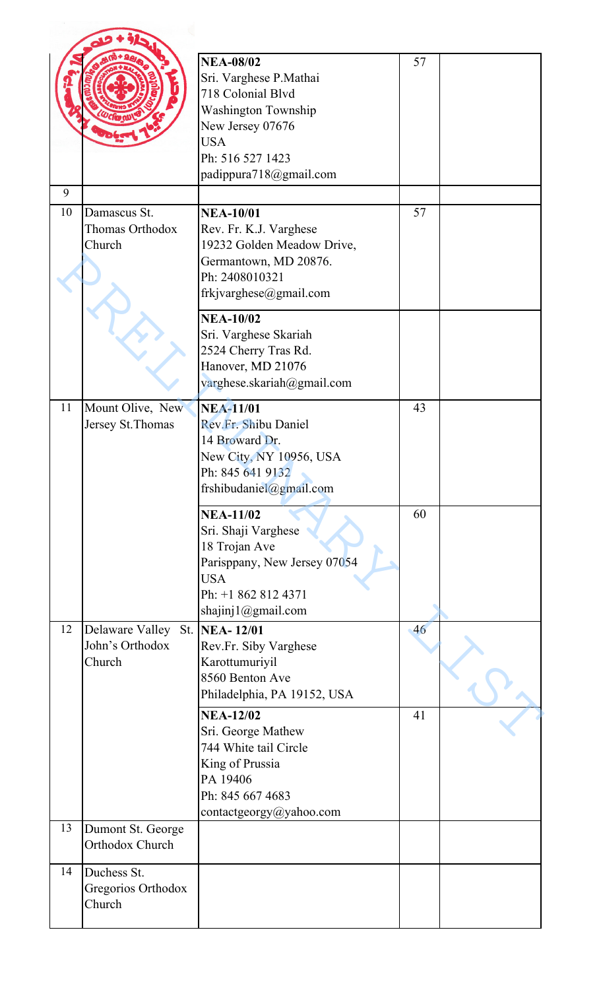|    |                                              | <b>NEA-08/02</b><br>Sri. Varghese P.Mathai<br>718 Colonial Blvd<br><b>Washington Township</b><br>New Jersey 07676<br><b>USA</b><br>Ph: 516 527 1423<br>padippura718@gmail.com | 57 |  |
|----|----------------------------------------------|-------------------------------------------------------------------------------------------------------------------------------------------------------------------------------|----|--|
| 9  |                                              |                                                                                                                                                                               |    |  |
| 10 | Damascus St.<br>Thomas Orthodox<br>Church    | <b>NEA-10/01</b><br>Rev. Fr. K.J. Varghese<br>19232 Golden Meadow Drive,<br>Germantown, MD 20876.<br>Ph: 2408010321<br>frkjvarghese@gmail.com                                 | 57 |  |
|    |                                              | <b>NEA-10/02</b><br>Sri. Varghese Skariah<br>2524 Cherry Tras Rd.<br>Hanover, MD 21076<br>varghese.skariah@gmail.com                                                          |    |  |
| 11 | Mount Olive, New<br>Jersey St. Thomas        | <b>NEA-11/01</b><br>Rev.Fr. Shibu Daniel<br>14 Broward Dr.<br>New City, NY 10956, USA<br>Ph: 845 641 9132<br>frshibudaniel@gmail.com                                          | 43 |  |
|    |                                              | <b>NEA-11/02</b><br>Sri. Shaji Varghese<br>18 Trojan Ave<br>Parisppany, New Jersey 07054<br><b>USA</b><br>Ph: +1 862 812 4371<br>shajinj1@gmail.com                           | 60 |  |
| 12 | Delaware Valley<br>John's Orthodox<br>Church | St. NEA-12/01<br>Rev.Fr. Siby Varghese<br>Karottumuriyil<br>8560 Benton Ave<br>Philadelphia, PA 19152, USA                                                                    | 46 |  |
|    |                                              | <b>NEA-12/02</b><br>Sri. George Mathew<br>744 White tail Circle<br>King of Prussia<br>PA 19406<br>Ph: 845 667 4683<br>contactgeorgy@yahoo.com                                 | 41 |  |
| 13 | Dumont St. George<br>Orthodox Church         |                                                                                                                                                                               |    |  |
| 14 | Duchess St.<br>Gregorios Orthodox<br>Church  |                                                                                                                                                                               |    |  |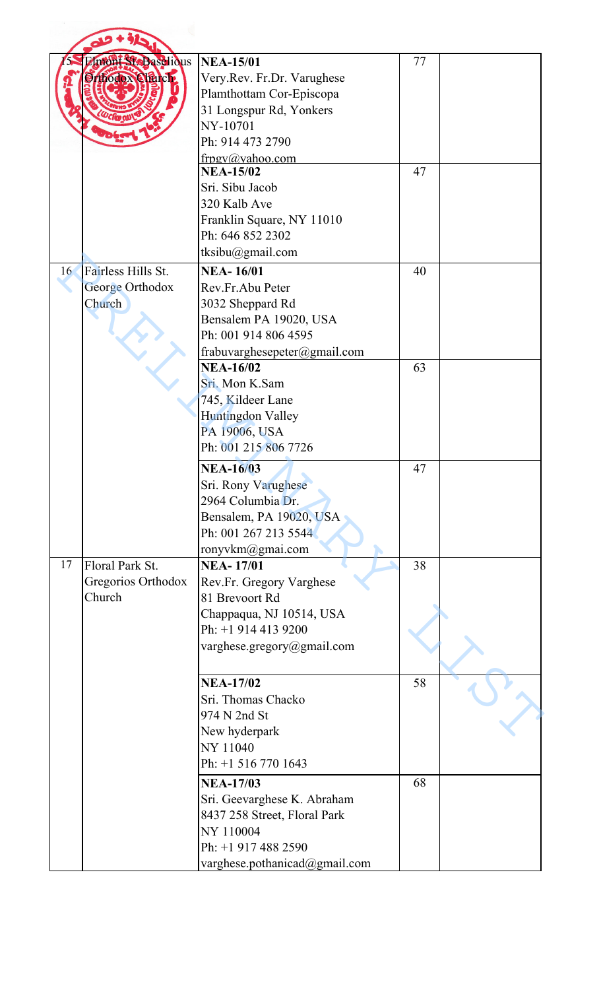|    | Imont StoBaselious<br><b>Orthodox Charch</b>    | <b>NEA-15/01</b><br>Very.Rev. Fr.Dr. Varughese<br>Plamthottam Cor-Episcopa<br>31 Longspur Rd, Yonkers<br>NY-10701<br>Ph: 914 473 2790<br>frpgy@yahoo.com | 77 |  |
|----|-------------------------------------------------|----------------------------------------------------------------------------------------------------------------------------------------------------------|----|--|
|    |                                                 | <b>NEA-15/02</b><br>Sri. Sibu Jacob<br>320 Kalb Ave<br>Franklin Square, NY 11010<br>Ph: 646 852 2302<br>tksibu@gmail.com                                 | 47 |  |
| 16 | Fairless Hills St.<br>George Orthodox<br>Church | <b>NEA-16/01</b><br>Rev.Fr.Abu Peter<br>3032 Sheppard Rd<br>Bensalem PA 19020, USA<br>Ph: 001 914 806 4595<br>frabuvarghesepeter@gmail.com               | 40 |  |
|    |                                                 | <b>NEA-16/02</b><br>Sri. Mon K.Sam<br>745, Kildeer Lane<br><b>Huntingdon Valley</b><br>PA 19006, USA<br>Ph: 001 215 806 7726                             | 63 |  |
|    |                                                 | <b>NEA-16/03</b><br>Sri. Rony Varughese<br>2964 Columbia Dr.<br>Bensalem, PA 19020, USA<br>Ph: 001 267 213 5544<br>ronyvkm@gmai.com                      | 47 |  |
| 17 | Floral Park St.<br>Gregorios Orthodox<br>Church | <b>NEA-17/01</b><br>Rev.Fr. Gregory Varghese<br>81 Brevoort Rd<br>Chappaqua, NJ 10514, USA<br>Ph: +1 914 413 9200<br>varghese.gregory@gmail.com          | 38 |  |
|    |                                                 | <b>NEA-17/02</b><br>Sri. Thomas Chacko<br>974 N 2nd St<br>New hyderpark<br>NY 11040<br>Ph: +1 516 770 1643                                               | 58 |  |
|    |                                                 | <b>NEA-17/03</b><br>Sri. Geevarghese K. Abraham<br>8437 258 Street, Floral Park<br>NY 110004<br>Ph: +1 917 488 2590<br>varghese.pothanicad@gmail.com     | 68 |  |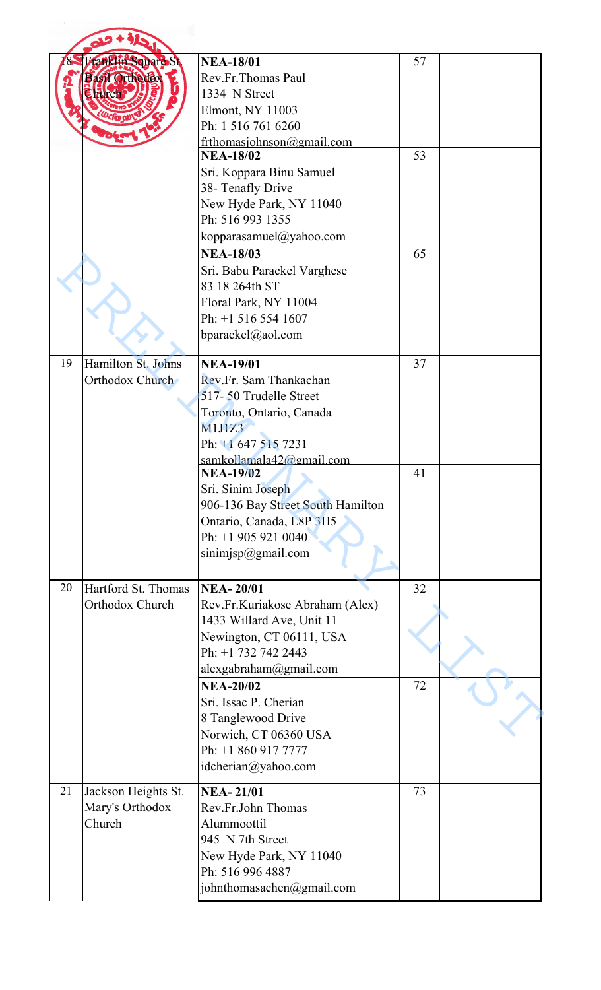|    | ranklin Square St<br><b>Basil Orthodex</b>       | <b>NEA-18/01</b><br>Rev.Fr.Thomas Paul<br>1334 N Street<br><b>Elmont, NY 11003</b><br>Ph: 1 516 761 6260                                                                                                                                           | 57       |  |
|----|--------------------------------------------------|----------------------------------------------------------------------------------------------------------------------------------------------------------------------------------------------------------------------------------------------------|----------|--|
|    |                                                  | frthomasjohnson@gmail.com<br><b>NEA-18/02</b><br>Sri. Koppara Binu Samuel<br>38- Tenafly Drive<br>New Hyde Park, NY 11040<br>Ph: 516 993 1355<br>kopparasamuel@yahoo.com<br><b>NEA-18/03</b>                                                       | 53<br>65 |  |
|    |                                                  | Sri. Babu Parackel Varghese<br>83 18 264th ST<br>Floral Park, NY 11004<br>Ph: +1 516 554 1607<br>bparackel@aol.com                                                                                                                                 |          |  |
| 19 | Hamilton St. Johns<br>Orthodox Church            | <b>NEA-19/01</b><br>Rev.Fr. Sam Thankachan<br>517-50 Trudelle Street<br>Toronto, Ontario, Canada<br><b>M1J1Z3</b><br>Ph: +1 647 515 7231<br>samkollamala42@gmail.com<br><b>NEA-19/02</b><br>Sri. Sinim Joseph<br>906-136 Bay Street South Hamilton | 37<br>41 |  |
|    |                                                  | Ontario, Canada, L8P 3H5<br>Ph: +1 905 921 0040<br>$s$ inimjsp $@g$ mail.com                                                                                                                                                                       |          |  |
| 20 | Hartford St. Thomas<br>Orthodox Church           | <b>NEA-20/01</b><br>Rev.Fr.Kuriakose Abraham (Alex)<br>1433 Willard Ave, Unit 11<br>Newington, CT 06111, USA<br>Ph: +1 732 742 2443<br>alexgabraham@gmail.com<br><b>NEA-20/02</b>                                                                  | 32<br>72 |  |
|    |                                                  | Sri. Issac P. Cherian<br>8 Tanglewood Drive<br>Norwich, CT 06360 USA<br>Ph: +1 860 917 7777<br>idcherian@yahoo.com                                                                                                                                 |          |  |
| 21 | Jackson Heights St.<br>Mary's Orthodox<br>Church | <b>NEA-21/01</b><br>Rev.Fr.John Thomas<br>Alummoottil<br>945 N 7th Street<br>New Hyde Park, NY 11040<br>Ph: 516 996 4887<br>johnthomasachen@gmail.com                                                                                              | 73       |  |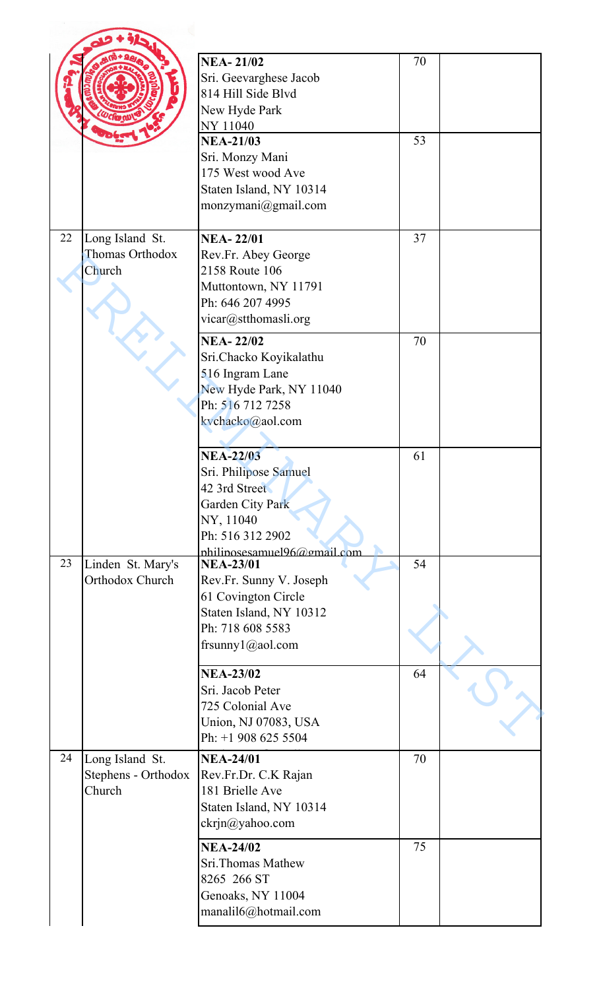|    |                                                  | <b>NEA-21/02</b><br>Sri. Geevarghese Jacob<br>814 Hill Side Blyd<br>New Hyde Park<br>NY 11040                                                         | 70 |  |
|----|--------------------------------------------------|-------------------------------------------------------------------------------------------------------------------------------------------------------|----|--|
|    |                                                  | <b>NEA-21/03</b><br>Sri. Monzy Mani<br>175 West wood Ave<br>Staten Island, NY 10314<br>monzymani@gmail.com                                            | 53 |  |
| 22 | Long Island St.<br>Thomas Orthodox<br>Church     | <b>NEA-22/01</b><br>Rev.Fr. Abey George<br>2158 Route 106<br>Muttontown, NY 11791<br>Ph: 646 207 4995<br>vicar@stthomasli.org                         | 37 |  |
|    |                                                  | <b>NEA-22/02</b><br>Sri.Chacko Koyikalathu<br>516 Ingram Lane<br>New Hyde Park, NY 11040<br>Ph: 516 712 7258<br>kychacko@aol.com                      | 70 |  |
|    |                                                  | <b>NEA-22/03</b><br>Sri. Philipose Samuel<br>42 3rd Street<br><b>Garden City Park</b><br>NY, 11040<br>Ph: 516 312 2902<br>nhilinosesamuel96@gmail.com | 61 |  |
| 23 | Linden St. Mary's<br>Orthodox Church             | <b>NEA-23/01</b><br>Rev.Fr. Sunny V. Joseph<br>61 Covington Circle<br>Staten Island, NY 10312<br>Ph: 718 608 5583<br>frsunny $1$ @aol.com             | 54 |  |
|    |                                                  | <b>NEA-23/02</b><br>Sri. Jacob Peter<br>725 Colonial Ave<br>Union, NJ 07083, USA<br>Ph: +1 908 625 5504                                               | 64 |  |
| 24 | Long Island St.<br>Stephens - Orthodox<br>Church | <b>NEA-24/01</b><br>Rev.Fr.Dr. C.K Rajan<br>181 Brielle Ave<br>Staten Island, NY 10314<br>ckrjn@yahoo.com                                             | 70 |  |
|    |                                                  | <b>NEA-24/02</b><br>Sri.Thomas Mathew<br>8265 266 ST<br>Genoaks, NY 11004<br>manalil6@hotmail.com                                                     | 75 |  |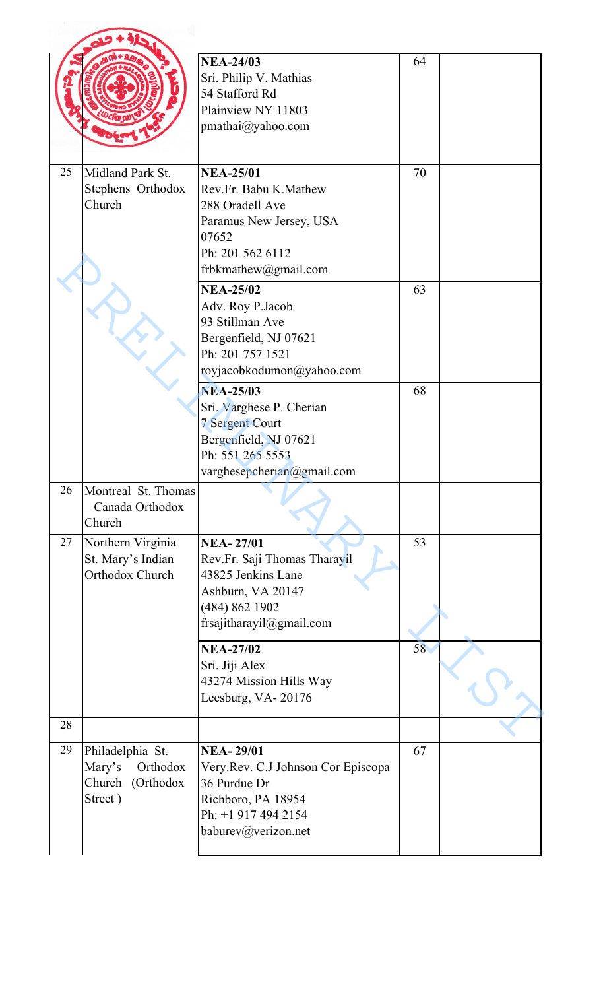|    |                                                                       | <b>NEA-24/03</b><br>Sri. Philip V. Mathias<br>54 Stafford Rd<br>Plainview NY 11803<br>pmathai@yahoo.com                                           | 64 |  |
|----|-----------------------------------------------------------------------|---------------------------------------------------------------------------------------------------------------------------------------------------|----|--|
| 25 | Midland Park St.<br>Stephens Orthodox<br>Church                       | <b>NEA-25/01</b><br>Rev.Fr. Babu K.Mathew<br>288 Oradell Ave<br>Paramus New Jersey, USA<br>07652<br>Ph: 201 562 6112<br>frbkmathew@gmail.com      | 70 |  |
|    |                                                                       | <b>NEA-25/02</b><br>Adv. Roy P.Jacob<br>93 Stillman Ave<br>Bergenfield, NJ 07621<br>Ph: 201 757 1521<br>royjacobkodumon@yahoo.com                 | 63 |  |
|    |                                                                       | <b>NEA-25/03</b><br>Sri. Varghese P. Cherian<br><b>7 Sergent Court</b><br>Bergenfield, NJ 07621<br>Ph: 551 265 5553<br>varghesepcherian@gmail.com | 68 |  |
| 26 | Montreal St. Thomas<br>- Canada Orthodox<br>Church                    |                                                                                                                                                   |    |  |
| 27 | Northern Virginia<br>St. Mary's Indian<br>Orthodox Church             | <b>NEA-27/01</b><br>Rev.Fr. Saji Thomas Tharayil<br>43825 Jenkins Lane<br>Ashburn, VA 20147<br>(484) 862 1902<br>frsajitharayil@gmail.com         | 53 |  |
|    |                                                                       | <b>NEA-27/02</b><br>Sri. Jiji Alex<br>43274 Mission Hills Way<br>Leesburg, VA-20176                                                               | 58 |  |
| 28 |                                                                       |                                                                                                                                                   |    |  |
| 29 | Philadelphia St.<br>Mary's<br>Orthodox<br>Church (Orthodox<br>Street) | <b>NEA-29/01</b><br>Very.Rev. C.J Johnson Cor Episcopa<br>36 Purdue Dr<br>Richboro, PA 18954<br>Ph: +1 917 494 2154<br>baburev@verizon.net        | 67 |  |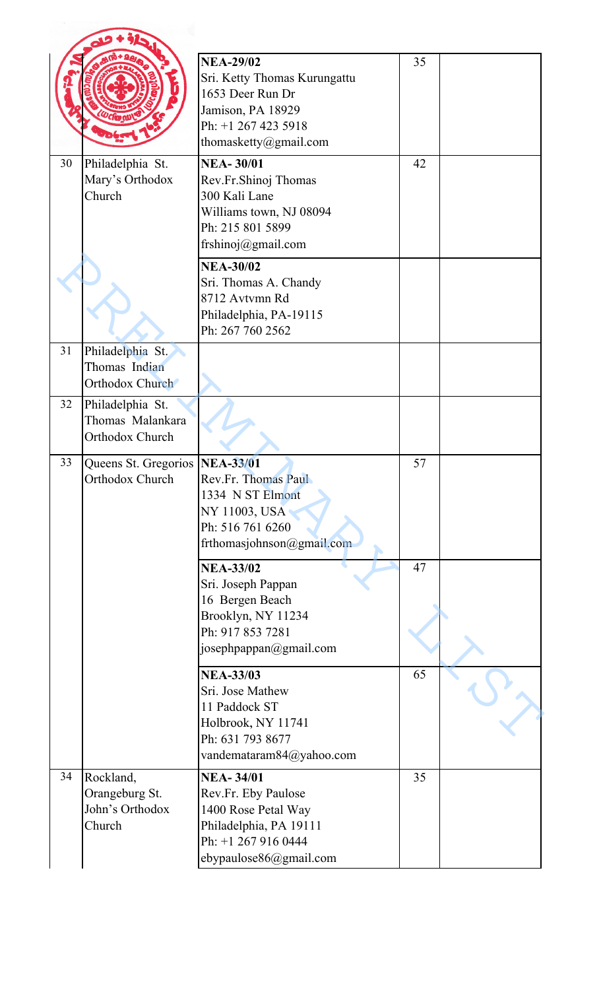|    |                                                                | <b>NEA-29/02</b><br>Sri. Ketty Thomas Kurungattu<br>1653 Deer Run Dr<br>Jamison, PA 18929<br>Ph: +1 267 423 5918<br>thomasketty@gmail.com | 35 |  |
|----|----------------------------------------------------------------|-------------------------------------------------------------------------------------------------------------------------------------------|----|--|
| 30 | Philadelphia St.<br>Mary's Orthodox<br>Church                  | <b>NEA-30/01</b><br>Rev.Fr.Shinoj Thomas<br>300 Kali Lane<br>Williams town, NJ 08094<br>Ph: 215 801 5899<br>frshinoj@gmail.com            | 42 |  |
|    |                                                                | <b>NEA-30/02</b><br>Sri. Thomas A. Chandy<br>8712 Avtymn Rd<br>Philadelphia, PA-19115<br>Ph: 267 760 2562                                 |    |  |
| 31 | Philadelphia St.<br>Thomas Indian<br>Orthodox Church           |                                                                                                                                           |    |  |
| 32 | Philadelphia St.<br>Thomas Malankara<br><b>Orthodox Church</b> |                                                                                                                                           |    |  |
| 33 | Queens St. Gregorios   NEA-33/01<br>Orthodox Church            | Rev.Fr. Thomas Paul<br>1334 N ST Elmont<br>NY 11003, USA<br>Ph: 516 761 6260<br>frthomasjohnson@gmail.com                                 | 57 |  |
|    |                                                                | <b>NEA-33/02</b><br>Sri. Joseph Pappan<br>16 Bergen Beach<br>Brooklyn, NY 11234<br>Ph: 917 853 7281<br>josephpappan@gmail.com             | 47 |  |
|    |                                                                | <b>NEA-33/03</b><br>Sri. Jose Mathew<br>11 Paddock ST<br>Holbrook, NY 11741<br>Ph: 631 793 8677<br>vandemataram84@yahoo.com               | 65 |  |
| 34 | Rockland,<br>Orangeburg St.<br>John's Orthodox<br>Church       | <b>NEA-34/01</b><br>Rev.Fr. Eby Paulose<br>1400 Rose Petal Way<br>Philadelphia, PA 19111<br>Ph: +1 267 916 0444<br>ebypaulose86@gmail.com | 35 |  |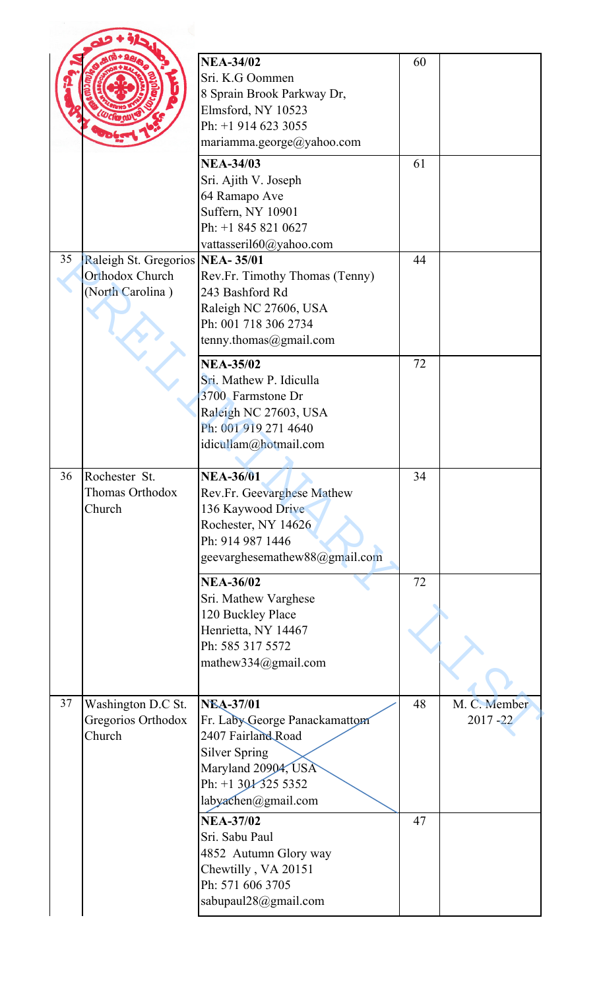|    |                                                    | <b>NEA-34/02</b><br>Sri. K.G Oommen<br>8 Sprain Brook Parkway Dr,<br>Elmsford, NY 10523<br>Ph: +1 914 623 3055<br>mariamma.george@yahoo.com                         | 60 |                             |
|----|----------------------------------------------------|---------------------------------------------------------------------------------------------------------------------------------------------------------------------|----|-----------------------------|
|    |                                                    | <b>NEA-34/03</b>                                                                                                                                                    | 61 |                             |
|    |                                                    | Sri. Ajith V. Joseph<br>64 Ramapo Ave<br>Suffern, NY 10901<br>Ph: +1 845 821 0627<br>vattasseril60@yahoo.com                                                        |    |                             |
| 35 | Raleigh St. Gregorios NEA-35/01                    |                                                                                                                                                                     | 44 |                             |
|    | <b>Orthodox Church</b><br>(North Carolina)         | Rev.Fr. Timothy Thomas (Tenny)<br>243 Bashford Rd<br>Raleigh NC 27606, USA<br>Ph: 001 718 306 2734<br>tenny.thomas@gmail.com                                        |    |                             |
|    |                                                    | <b>NEA-35/02</b><br>Sri. Mathew P. Idiculla<br>3700 Farmstone Dr<br>Raleigh NC 27603, USA<br>Ph: 001 919 271 4640<br>idicullam@hotmail.com                          | 72 |                             |
| 36 | Rochester St.<br>Thomas Orthodox<br>Church         | <b>NEA-36/01</b><br>Rev.Fr. Geevarghese Mathew<br>136 Kaywood Drive<br>Rochester, NY 14626<br>Ph: 914 987 1446<br>geevarghesemathew88@gmail.com                     | 34 |                             |
|    |                                                    | <b>NEA-36/02</b><br>Sri. Mathew Varghese<br>120 Buckley Place<br>Henrietta, NY 14467<br>Ph: 585 317 5572<br>mathew334@gmail.com                                     | 72 |                             |
| 37 | Washington D.C St.<br>Gregorios Orthodox<br>Church | <b>NEA-37/01</b><br>Fr. Laby George Panackamattom<br>2407 Fairland Road<br><b>Silver Spring</b><br>Maryland 20904, USA<br>Ph: +1 30/325 5352<br>labyachen@gmail.com | 48 | M. C. Member<br>$2017 - 22$ |
|    |                                                    | <b>NEA-37/02</b><br>Sri. Sabu Paul<br>4852 Autumn Glory way<br>Chewtilly, VA 20151<br>Ph: 571 606 3705                                                              | 47 |                             |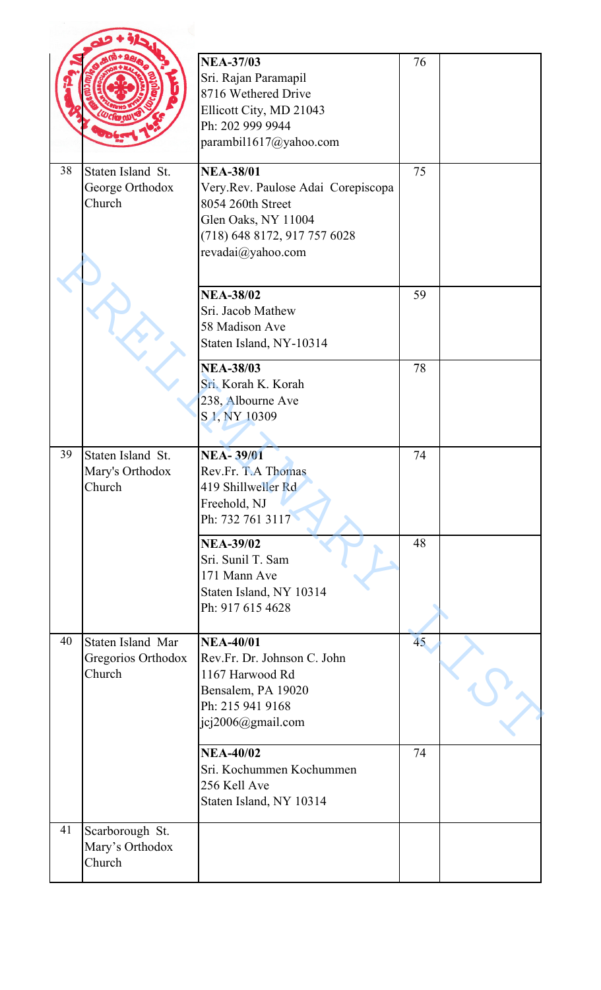|    |                                                   | <b>NEA-37/03</b><br>Sri. Rajan Paramapil<br>8716 Wethered Drive<br>Ellicott City, MD 21043<br>Ph: 202 999 9944<br>parambil1617@yahoo.com                | 76 |  |
|----|---------------------------------------------------|---------------------------------------------------------------------------------------------------------------------------------------------------------|----|--|
| 38 | Staten Island St.<br>George Orthodox<br>Church    | <b>NEA-38/01</b><br>Very.Rev. Paulose Adai Corepiscopa<br>8054 260th Street<br>Glen Oaks, NY 11004<br>(718) 648 8172, 917 757 6028<br>revadai@yahoo.com | 75 |  |
|    |                                                   | <b>NEA-38/02</b><br>Sri. Jacob Mathew<br>58 Madison Ave<br>Staten Island, NY-10314                                                                      | 59 |  |
|    |                                                   | <b>NEA-38/03</b><br>Sri. Korah K. Korah<br>238, Albourne Ave<br>S <sub>1</sub> , NY <sub>10309</sub>                                                    | 78 |  |
| 39 | Staten Island St.<br>Mary's Orthodox<br>Church    | <b>NEA-39/01</b><br>Rev.Fr. T.A Thomas<br>419 Shillweller Rd<br>Freehold, NJ<br>Ph: 732 761 3117                                                        | 74 |  |
|    |                                                   | <b>NEA-39/02</b><br>Sri. Sunil T. Sam<br>171 Mann Ave<br>Staten Island, NY 10314<br>Ph: 917 615 4628                                                    | 48 |  |
| 40 | Staten Island Mar<br>Gregorios Orthodox<br>Church | <b>NEA-40/01</b><br>Rev.Fr. Dr. Johnson C. John<br>1167 Harwood Rd<br>Bensalem, PA 19020<br>Ph: 215 941 9168<br>jcj2006@gmail.com                       | 45 |  |
|    |                                                   | <b>NEA-40/02</b><br>Sri. Kochummen Kochummen<br>256 Kell Ave<br>Staten Island, NY 10314                                                                 | 74 |  |
| 41 | Scarborough St.<br>Mary's Orthodox<br>Church      |                                                                                                                                                         |    |  |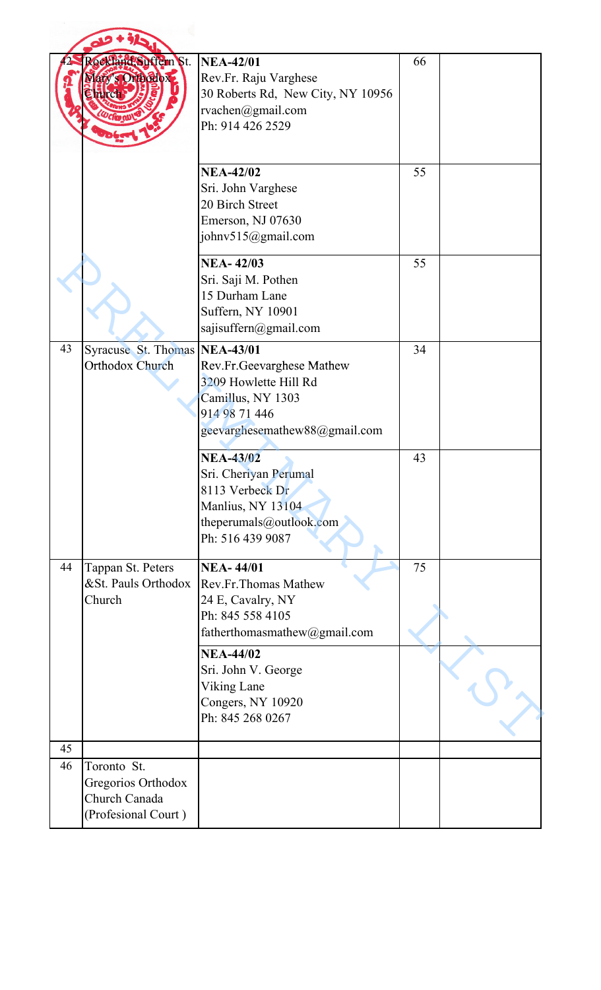|    | Celland Suffern St.<br>ary's Orthodox.                                    | <b>NEA-42/01</b><br>Rev.Fr. Raju Varghese<br>30 Roberts Rd, New City, NY 10956<br>rvachen@gmail.com<br>Ph: 914 426 2529                       | 66 |  |
|----|---------------------------------------------------------------------------|-----------------------------------------------------------------------------------------------------------------------------------------------|----|--|
|    |                                                                           | <b>NEA-42/02</b><br>Sri. John Varghese<br>20 Birch Street<br>Emerson, NJ 07630<br>johnv515@gmail.com                                          | 55 |  |
|    |                                                                           | <b>NEA-42/03</b><br>Sri. Saji M. Pothen<br>15 Durham Lane<br>Suffern, NY 10901<br>sajisuffern@gmail.com                                       | 55 |  |
| 43 | Syracuse St. Thomas<br>Orthodox Church                                    | <b>NEA-43/01</b><br>Rev.Fr.Geevarghese Mathew<br>3209 Howlette Hill Rd<br>Camillus, NY 1303<br>914 98 71 446<br>geevarghesemathew88@gmail.com | 34 |  |
|    |                                                                           | <b>NEA-43/02</b><br>Sri. Cheriyan Perumal<br>8113 Verbeck Dr<br>Manlius, NY 13104<br>theperumals@outlook.com<br>Ph: 516 439 9087              | 43 |  |
| 44 | Tappan St. Peters<br>&St. Pauls Orthodox<br>Church                        | <b>NEA-44/01</b><br>Rev.Fr.Thomas Mathew<br>24 E, Cavalry, NY<br>Ph: 845 558 4105<br>fatherthomasmathew@gmail.com                             | 75 |  |
|    |                                                                           | <b>NEA-44/02</b><br>Sri. John V. George<br><b>Viking Lane</b><br>Congers, NY 10920<br>Ph: 845 268 0267                                        |    |  |
| 45 |                                                                           |                                                                                                                                               |    |  |
| 46 | Toronto St.<br>Gregorios Orthodox<br>Church Canada<br>(Profesional Court) |                                                                                                                                               |    |  |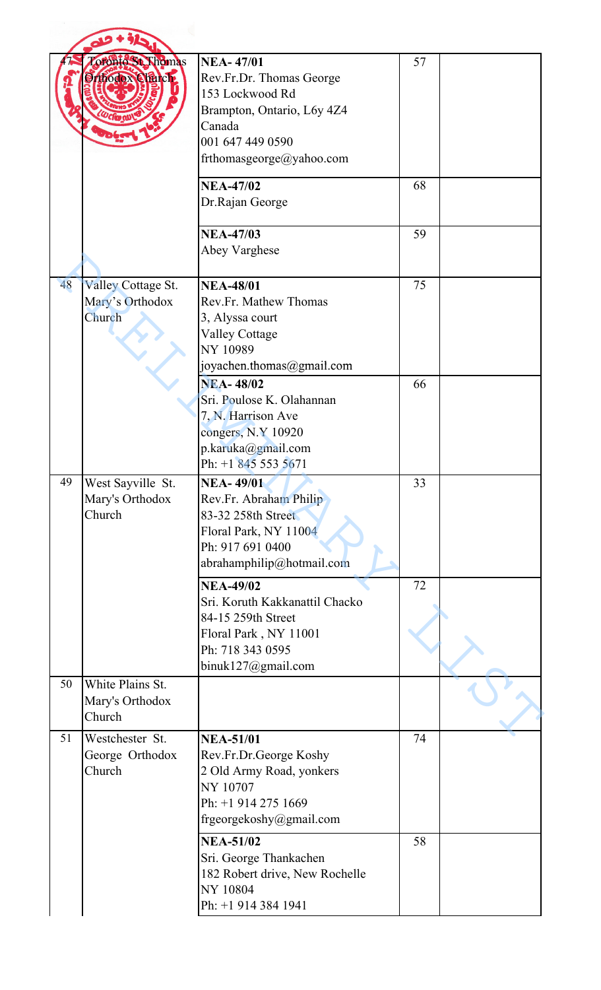|    | oronto St. Thomas<br>Ithodox Church.                   | <b>NEA-47/01</b><br>Rev.Fr.Dr. Thomas George<br>153 Lockwood Rd<br>Brampton, Ontario, L6y 4Z4<br>Canada<br>001 647 449 0590<br>frthomasgeorge@yahoo.com | 57 |  |
|----|--------------------------------------------------------|---------------------------------------------------------------------------------------------------------------------------------------------------------|----|--|
|    |                                                        | <b>NEA-47/02</b><br>Dr.Rajan George                                                                                                                     | 68 |  |
|    |                                                        | <b>NEA-47/03</b><br>Abey Varghese                                                                                                                       | 59 |  |
| 48 | <b>Valley Cottage St.</b><br>Mary's Orthodox<br>Church | <b>NEA-48/01</b><br>Rev.Fr. Mathew Thomas<br>3, Alyssa court<br><b>Valley Cottage</b><br>NY 10989<br>joyachen.thomas@gmail.com                          | 75 |  |
|    |                                                        | <b>NEA-48/02</b><br>Sri. Poulose K. Olahannan<br>7, N. Harrison Ave<br>congers, N.Y 10920<br>p.karuka@gmail.com<br>Ph: +1 845 553 5671                  | 66 |  |
| 49 | West Sayville St.<br>Mary's Orthodox<br>Church         | <b>NEA-49/01</b><br>Rev.Fr. Abraham Philip<br>83-32 258th Street<br>Floral Park, NY 11004<br>Ph: 917 691 0400<br>abrahamphilip@hotmail.com              | 33 |  |
|    |                                                        | <b>NEA-49/02</b><br>Sri. Koruth Kakkanattil Chacko<br>84-15 259th Street<br>Floral Park, NY 11001<br>Ph: 718 343 0595<br>binuk127@gmail.com             | 72 |  |
| 50 | White Plains St.<br>Mary's Orthodox<br>Church          |                                                                                                                                                         |    |  |
| 51 | Westchester St.<br>George Orthodox<br>Church           | <b>NEA-51/01</b><br>Rev.Fr.Dr.George Koshy<br>2 Old Army Road, yonkers<br>NY 10707<br>Ph: +1 914 275 1669<br>frgeorgekoshy@gmail.com                    | 74 |  |
|    |                                                        | <b>NEA-51/02</b><br>Sri. George Thankachen<br>182 Robert drive, New Rochelle<br>NY 10804<br>Ph: +1 914 384 1941                                         | 58 |  |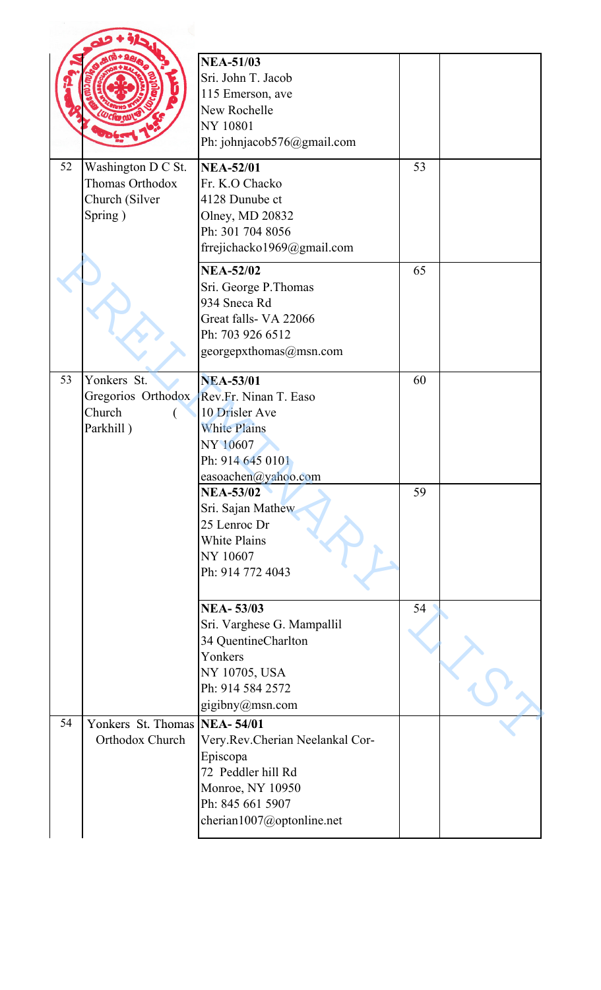|    |                                                                    | <b>NEA-51/03</b><br>Sri. John T. Jacob<br>115 Emerson, ave<br>New Rochelle<br>NY 10801<br>Ph: johnjacob576@gmail.com                          |    |  |
|----|--------------------------------------------------------------------|-----------------------------------------------------------------------------------------------------------------------------------------------|----|--|
| 52 | Washington D C St.<br>Thomas Orthodox<br>Church (Silver<br>Spring) | <b>NEA-52/01</b><br>Fr. K.O Chacko<br>4128 Dunube ct<br>Olney, MD 20832<br>Ph: 301 704 8056<br>frrejichacko1969@gmail.com                     | 53 |  |
|    |                                                                    | <b>NEA-52/02</b><br>Sri. George P. Thomas<br>934 Sneca Rd<br>Great falls- VA 22066<br>Ph: 703 926 6512<br>georgepxthomas@msn.com              | 65 |  |
| 53 | Yonkers St.<br>Gregorios Orthodox<br>Church<br>Parkhill)           | <b>NEA-53/01</b><br>Rev.Fr. Ninan T. Easo<br>10 Drisler Ave<br><b>White Plains</b><br>NY 10607<br>Ph: 914 645 0101<br>easoachen@yahoo.com     | 60 |  |
|    |                                                                    | <b>NEA-53/02</b><br>Sri. Sajan Mathew<br>25 Lenroc Dr<br><b>White Plains</b><br>NY 10607<br>Ph: 914 772 4043                                  | 59 |  |
|    |                                                                    | <b>NEA-53/03</b><br>Sri. Varghese G. Mampallil<br>34 QuentineCharlton<br>Yonkers<br>NY 10705, USA<br>Ph: 914 584 2572<br>gigibny@msn.com      | 54 |  |
| 54 | Yonkers St. Thomas NEA-54/01<br>Orthodox Church                    | Very.Rev.Cherian Neelankal Cor-<br>Episcopa<br>72 Peddler hill Rd<br><b>Monroe, NY 10950</b><br>Ph: 845 661 5907<br>cherian1007@optonline.net |    |  |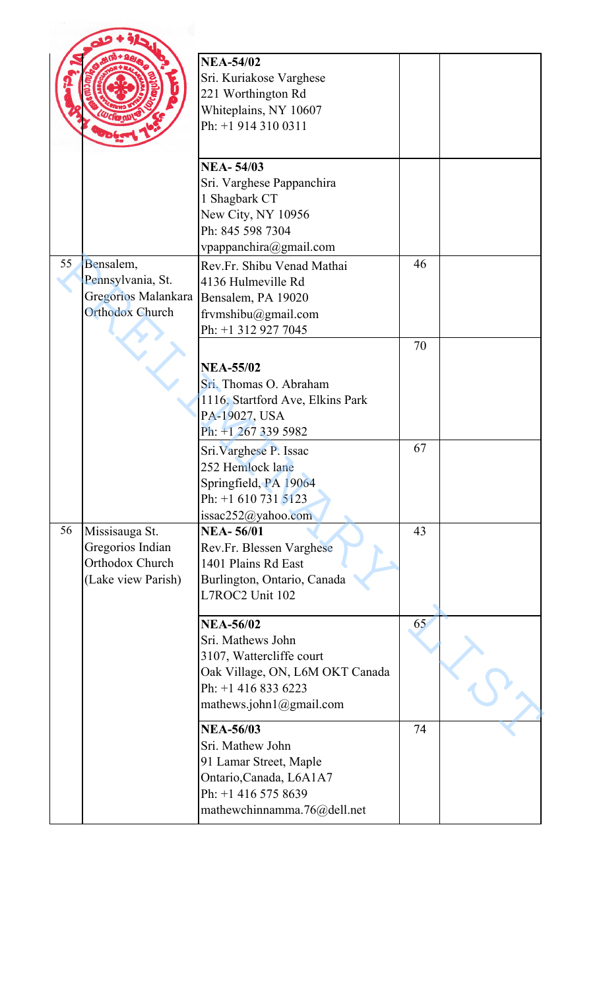|    |                                                                                 | <b>NEA-54/02</b><br>Sri. Kuriakose Varghese<br>221 Worthington Rd<br>Whiteplains, NY 10607<br>Ph: +1 914 310 0311                                      |    |  |
|----|---------------------------------------------------------------------------------|--------------------------------------------------------------------------------------------------------------------------------------------------------|----|--|
|    |                                                                                 | <b>NEA-54/03</b><br>Sri. Varghese Pappanchira<br>1 Shagbark CT<br>New City, NY 10956<br>Ph: 845 598 7304<br>vpappanchira@gmail.com                     |    |  |
| 55 | Bensalem,<br>Pennsylvania, St.<br>Gregorios Malankara<br><b>Orthodox Church</b> | Rev.Fr. Shibu Venad Mathai<br>4136 Hulmeville Rd<br>Bensalem, PA 19020<br>frvmshibu@gmail.com<br>Ph: +1 312 927 7045                                   | 46 |  |
|    |                                                                                 | <b>NEA-55/02</b><br>Sri. Thomas O. Abraham<br>1116, Startford Ave, Elkins Park<br>PA-19027, USA<br>Ph: +1 267 339 5982                                 | 70 |  |
|    |                                                                                 | Sri. Varghese P. Issac<br>252 Hemlock lane<br>Springfield, PA 19064<br>Ph: $+1$ 610 731 5123<br>issac252@yahoo.com                                     | 67 |  |
| 56 | Missisauga St.<br>Gregorios Indian<br>Orthodox Church<br>(Lake view Parish)     | <b>NEA-56/01</b><br>Rev.Fr. Blessen Varghese<br>1401 Plains Rd East<br>Burlington, Ontario, Canada<br>L7ROC2 Unit 102                                  | 43 |  |
|    |                                                                                 | <b>NEA-56/02</b><br>Sri. Mathews John<br>3107, Wattercliffe court<br>Oak Village, ON, L6M OKT Canada<br>Ph: +1 416 833 6223<br>mathews.john1@gmail.com | 65 |  |
|    |                                                                                 | <b>NEA-56/03</b><br>Sri. Mathew John<br>91 Lamar Street, Maple<br>Ontario, Canada, L6A1A7<br>Ph: +1 416 575 8639<br>mathewchinnamma.76@dell.net        | 74 |  |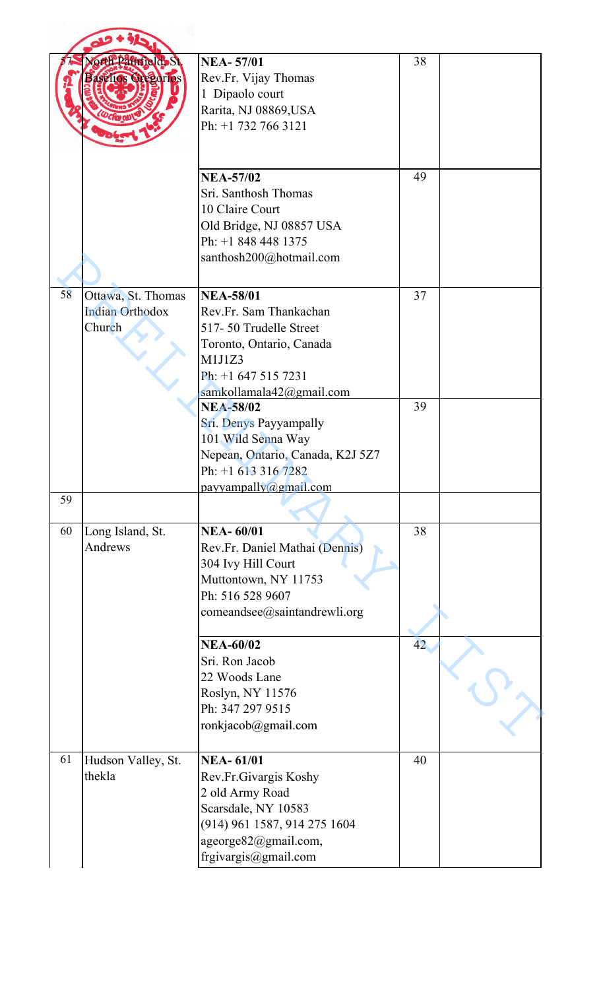|    | orth Painfield, St.<br>Baselios Gregorios              | <b>NEA-57/01</b><br>Rev.Fr. Vijay Thomas<br>1 Dipaolo court<br>Rarita, NJ 08869, USA<br>Ph: +1 732 766 3121                                                         | 38 |  |
|----|--------------------------------------------------------|---------------------------------------------------------------------------------------------------------------------------------------------------------------------|----|--|
|    |                                                        | <b>NEA-57/02</b><br>Sri. Santhosh Thomas<br>10 Claire Court<br>Old Bridge, NJ 08857 USA<br>Ph: +1 848 448 1375<br>santhosh200@hotmail.com                           | 49 |  |
| 58 | Ottawa, St. Thomas<br><b>Indian Orthodox</b><br>Church | <b>NEA-58/01</b><br>Rev.Fr. Sam Thankachan<br>517-50 Trudelle Street<br>Toronto, Ontario, Canada<br>M1J1Z3<br>Ph: +1 647 515 7231<br>samkollamala42@gmail.com       | 37 |  |
|    |                                                        | <b>NEA-58/02</b><br>Sri. Denys Payyampally<br>101 Wild Senna Way<br>Nepean, Ontario, Canada, K2J 5Z7<br>Ph: +1 613 316 7282<br>payyampally@gmail.com                | 39 |  |
| 59 |                                                        |                                                                                                                                                                     |    |  |
| 60 | Long Island, St.<br>Andrews                            | <b>NEA-60/01</b><br>Rev.Fr. Daniel Mathai (Dennis)<br>304 Ivy Hill Court<br>Muttontown, NY 11753<br>Ph: 516 528 9607<br>comeandsee@saintandrewli.org                | 38 |  |
|    |                                                        | <b>NEA-60/02</b><br>Sri. Ron Jacob<br>22 Woods Lane<br>Roslyn, NY 11576<br>Ph: 347 297 9515<br>ronkjacob@gmail.com                                                  | 42 |  |
| 61 | Hudson Valley, St.<br>thekla                           | <b>NEA-61/01</b><br>Rev.Fr.Givargis Koshy<br>2 old Army Road<br>Scarsdale, NY 10583<br>(914) 961 1587, 914 275 1604<br>ageorge82@gmail.com,<br>frgivargis@gmail.com | 40 |  |